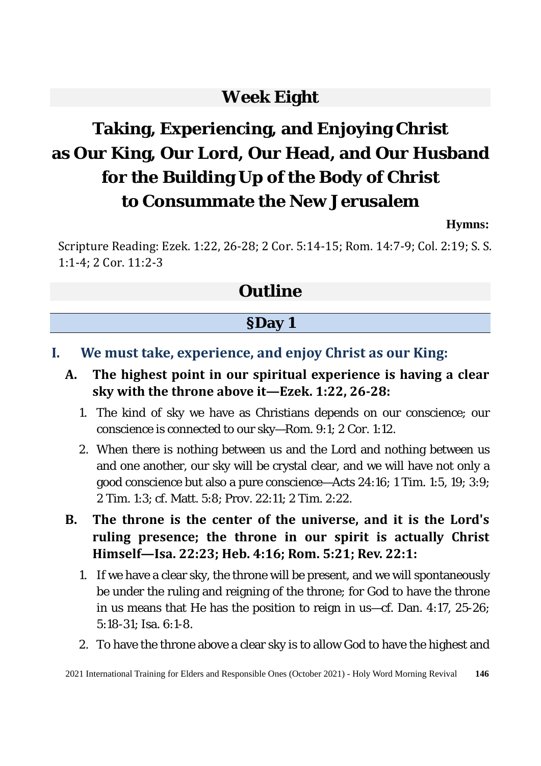### **Week Eight**

# **Taking, Experiencing, and Enjoying Christ as Our King, Our Lord, Our Head, and Our Husband for the Building Up of the Body of Christ to Consummate the New Jerusalem**

#### **Hymns:**

Scripture Reading: Ezek. 1:22, 26-28; 2 Cor. 5:14-15; Rom. 14:7-9; Col. 2:19; S. S. 1:1-4; 2 Cor. 11:2-3

### **Outline**

#### **§Day 1**

- **I. We must take, experience, and enjoy Christ as our King:**
	- **A. The highest point in our spiritual experience is having a clear sky with the throne above it—Ezek. 1:22, 26-28:** 
		- 1. The kind of sky we have as Christians depends on our conscience; our conscience is connected to our sky—Rom. 9:1; 2 Cor. 1:12.
		- 2. When there is nothing between us and the Lord and nothing between us and one another, our sky will be crystal clear, and we will have not only a good conscience but also a pure conscience—Acts 24:16; 1 Tim. 1:5, 19; 3:9; 2 Tim. 1:3; cf. Matt. 5:8; Prov. 22:11; 2 Tim. 2:22.
	- **B. The throne is the center of the universe, and it is the Lord's ruling presence; the throne in our spirit is actually Christ Himself—Isa. 22:23; Heb. 4:16; Rom. 5:21; Rev. 22:1:** 
		- 1. If we have a clear sky, the throne will be present, and we will spontaneously be under the ruling and reigning of the throne; for God to have the throne in us means that He has the position to reign in us—cf. Dan. 4:17, 25-26; 5:18-31; Isa. 6:1-8.
		- 2. To have the throne above a clear sky is to allow God to have the highest and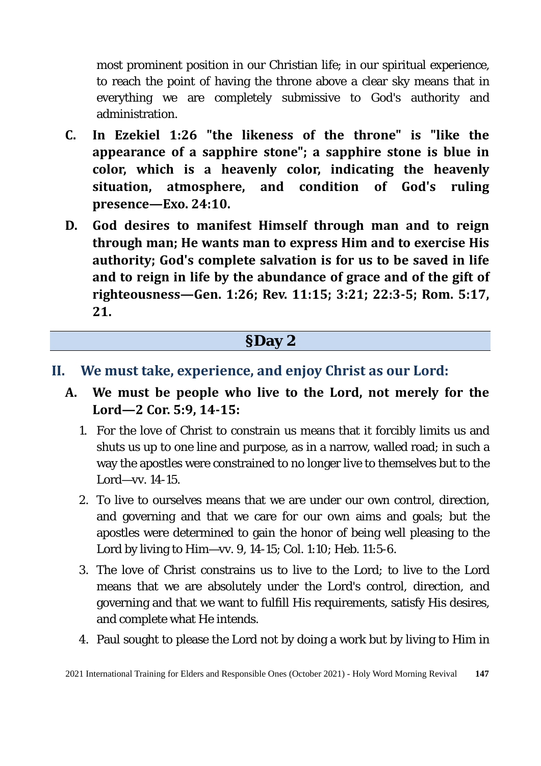most prominent position in our Christian life; in our spiritual experience, to reach the point of having the throne above a clear sky means that in everything we are completely submissive to God's authority and administration.

- **C. In Ezekiel 1:26 "the likeness of the throne" is "like the appearance of a sapphire stone"; a sapphire stone is blue in color, which is a heavenly color, indicating the heavenly situation, atmosphere, and condition of God's ruling presence—Exo. 24:10.**
- **D. God desires to manifest Himself through man and to reign through man; He wants man to express Him and to exercise His authority; God's complete salvation is for us to be saved in life and to reign in life by the abundance of grace and of the gift of righteousness—Gen. 1:26; Rev. 11:15; 3:21; 22:3-5; Rom. 5:17, 21.**

#### **§Day 2**

#### **II. We must take, experience, and enjoy Christ as our Lord:**

- **A. We must be people who live to the Lord, not merely for the Lord—2 Cor. 5:9, 14-15:** 
	- 1. For the love of Christ to constrain us means that it forcibly limits us and shuts us up to one line and purpose, as in a narrow, walled road; in such a way the apostles were constrained to no longer live to themselves but to the Lord—vv. 14-15.
	- 2. To live to ourselves means that we are under our own control, direction, and governing and that we care for our own aims and goals; but the apostles were determined to gain the honor of being well pleasing to the Lord by living to Him—vv. 9, 14-15; Col. 1:10; Heb. 11:5-6.
	- 3. The love of Christ constrains us to live to the Lord; to live to the Lord means that we are absolutely under the Lord's control, direction, and governing and that we want to fulfill His requirements, satisfy His desires, and complete what He intends.
	- 4. Paul sought to please the Lord not by doing a work but by living to Him in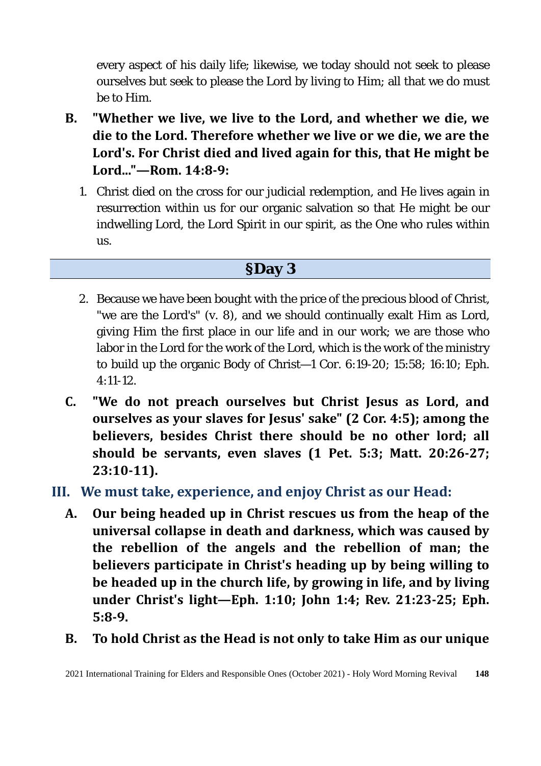every aspect of his daily life; likewise, we today should not seek to please ourselves but seek to please the Lord by living to Him; all that we do must be to Him.

- **B. "Whether we live, we live to the Lord, and whether we die, we die to the Lord. Therefore whether we live or we die, we are the Lord's. For Christ died and lived again for this, that He might be Lord..."—Rom. 14:8-9:** 
	- 1. Christ died on the cross for our judicial redemption, and He lives again in resurrection within us for our organic salvation so that He might be our indwelling Lord, the Lord Spirit in our spirit, as the One who rules within us.

#### **§Day 3**

- 2. Because we have been bought with the price of the precious blood of Christ, "we are the Lord's" (v. 8), and we should continually exalt Him as Lord, giving Him the first place in our life and in our work; we are those who labor in the Lord for the work of the Lord, which is the work of the ministry to build up the organic Body of Christ—1 Cor. 6:19-20; 15:58; 16:10; Eph. 4:11-12.
- **C. "We do not preach ourselves but Christ Jesus as Lord, and ourselves as your slaves for Jesus' sake" (2 Cor. 4:5); among the believers, besides Christ there should be no other lord; all should be servants, even slaves (1 Pet. 5:3; Matt. 20:26-27; 23:10-11).**
- **III. We must take, experience, and enjoy Christ as our Head:**
	- **A. Our being headed up in Christ rescues us from the heap of the universal collapse in death and darkness, which was caused by the rebellion of the angels and the rebellion of man; the believers participate in Christ's heading up by being willing to be headed up in the church life, by growing in life, and by living under Christ's light—Eph. 1:10; John 1:4; Rev. 21:23-25; Eph. 5:8-9.**
	- **B. To hold Christ as the Head is not only to take Him as our unique**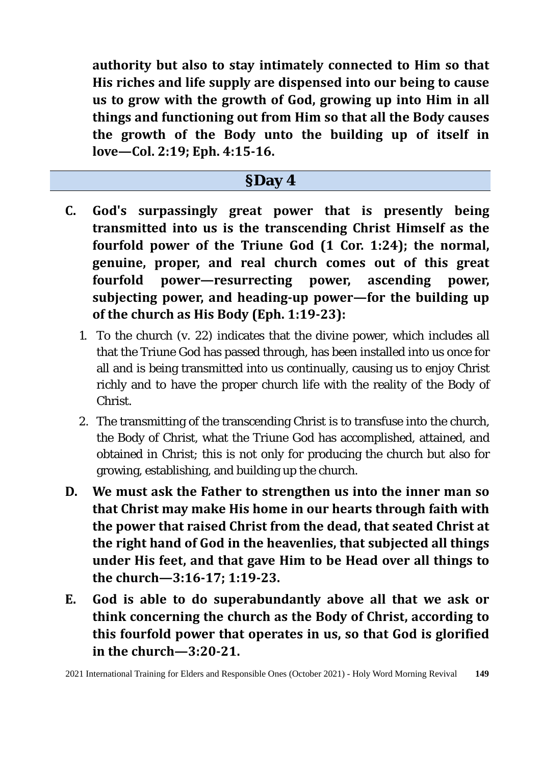**authority but also to stay intimately connected to Him so that His riches and life supply are dispensed into our being to cause us to grow with the growth of God, growing up into Him in all things and functioning out from Him so that all the Body causes the growth of the Body unto the building up of itself in love—Col. 2:19; Eph. 4:15-16.** 

#### **§Day 4**

- **C. God's surpassingly great power that is presently being transmitted into us is the transcending Christ Himself as the fourfold power of the Triune God (1 Cor. 1:24); the normal, genuine, proper, and real church comes out of this great fourfold power—resurrecting power, ascending power, subjecting power, and heading-up power—for the building up of the church as His Body (Eph. 1:19-23):** 
	- 1. To the church (v. 22) indicates that the divine power, which includes all that the Triune God has passed through, has been installed into us once for all and is being transmitted into us continually, causing us to enjoy Christ richly and to have the proper church life with the reality of the Body of Christ.
	- 2. The transmitting of the transcending Christ is to transfuse into the church, the Body of Christ, what the Triune God has accomplished, attained, and obtained in Christ; this is not only for producing the church but also for growing, establishing, and building up the church.
- **D. We must ask the Father to strengthen us into the inner man so that Christ may make His home in our hearts through faith with the power that raised Christ from the dead, that seated Christ at the right hand of God in the heavenlies, that subjected all things under His feet, and that gave Him to be Head over all things to the church—3:16-17; 1:19-23.**
- **E. God is able to do superabundantly above all that we ask or think concerning the church as the Body of Christ, according to this fourfold power that operates in us, so that God is glorified in the church—3:20-21.**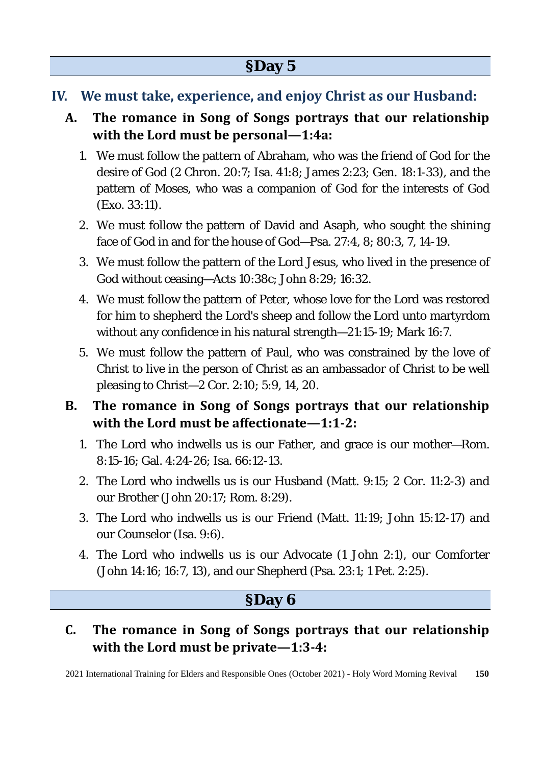- **IV. We must take, experience, and enjoy Christ as our Husband:**
	- **A. The romance in Song of Songs portrays that our relationship with the Lord must be personal—1:4a:** 
		- 1. We must follow the pattern of Abraham, who was the friend of God for the desire of God (2 Chron. 20:7; Isa. 41:8; James 2:23; Gen. 18:1-33), and the pattern of Moses, who was a companion of God for the interests of God (Exo. 33:11).
		- 2. We must follow the pattern of David and Asaph, who sought the shining face of God in and for the house of God—Psa. 27:4, 8; 80:3, 7, 14-19.
		- 3. We must follow the pattern of the Lord Jesus, who lived in the presence of God without ceasing—Acts 10:38c; John 8:29; 16:32.
		- 4. We must follow the pattern of Peter, whose love for the Lord was restored for him to shepherd the Lord's sheep and follow the Lord unto martyrdom without any confidence in his natural strength—21:15-19; Mark 16:7.
		- 5. We must follow the pattern of Paul, who was constrained by the love of Christ to live in the person of Christ as an ambassador of Christ to be well pleasing to Christ—2 Cor. 2:10; 5:9, 14, 20.

#### **B. The romance in Song of Songs portrays that our relationship with the Lord must be affectionate—1:1-2:**

- 1. The Lord who indwells us is our Father, and grace is our mother—Rom. 8:15-16; Gal. 4:24-26; Isa. 66:12-13.
- 2. The Lord who indwells us is our Husband (Matt. 9:15; 2 Cor. 11:2-3) and our Brother (John 20:17; Rom. 8:29).
- 3. The Lord who indwells us is our Friend (Matt. 11:19; John 15:12-17) and our Counselor (Isa. 9:6).
- 4. The Lord who indwells us is our Advocate (1 John 2:1), our Comforter (John 14:16; 16:7, 13), and our Shepherd (Psa. 23:1; 1 Pet. 2:25).

### **§Day 6**

#### **C. The romance in Song of Songs portrays that our relationship with the Lord must be private—1:3-4:**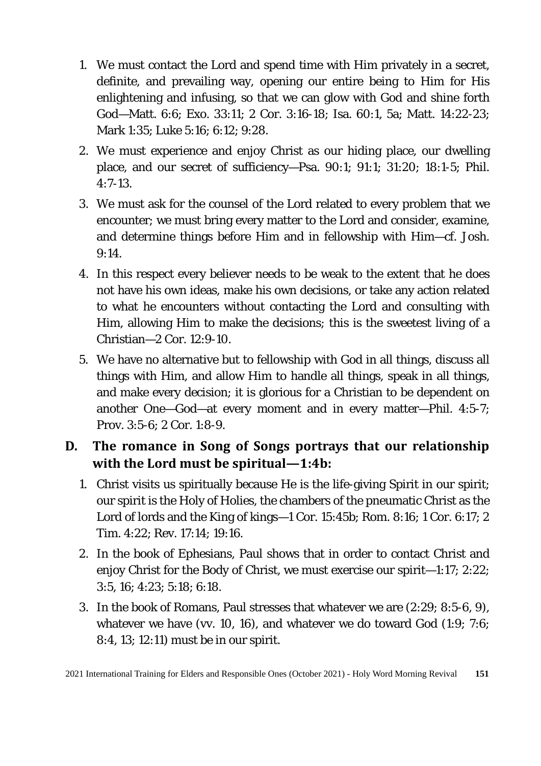- 1. We must contact the Lord and spend time with Him privately in a secret, definite, and prevailing way, opening our entire being to Him for His enlightening and infusing, so that we can glow with God and shine forth God—Matt. 6:6; Exo. 33:11; 2 Cor. 3:16-18; Isa. 60:1, 5a; Matt. 14:22-23; Mark 1:35; Luke 5:16; 6:12; 9:28.
- 2. We must experience and enjoy Christ as our hiding place, our dwelling place, and our secret of sufficiency—Psa. 90:1; 91:1; 31:20; 18:1-5; Phil. 4:7-13.
- 3. We must ask for the counsel of the Lord related to every problem that we encounter; we must bring every matter to the Lord and consider, examine, and determine things before Him and in fellowship with Him—cf. Josh. 9:14.
- 4. In this respect every believer needs to be weak to the extent that he does not have his own ideas, make his own decisions, or take any action related to what he encounters without contacting the Lord and consulting with Him, allowing Him to make the decisions; this is the sweetest living of a Christian—2 Cor. 12:9-10.
- 5. We have no alternative but to fellowship with God in all things, discuss all things with Him, and allow Him to handle all things, speak in all things, and make every decision; it is glorious for a Christian to be dependent on another One—God—at every moment and in every matter—Phil. 4:5-7; Prov. 3:5-6; 2 Cor. 1:8-9.

#### **D. The romance in Song of Songs portrays that our relationship with the Lord must be spiritual—1:4b:**

- 1. Christ visits us spiritually because He is the life-giving Spirit in our spirit; our spirit is the Holy of Holies, the chambers of the pneumatic Christ as the Lord of lords and the King of kings—1 Cor. 15:45b; Rom. 8:16; 1 Cor. 6:17; 2 Tim. 4:22; Rev. 17:14; 19:16.
- 2. In the book of Ephesians, Paul shows that in order to contact Christ and enjoy Christ for the Body of Christ, we must exercise our spirit—1:17; 2:22; 3:5, 16; 4:23; 5:18; 6:18.
- 3. In the book of Romans, Paul stresses that whatever we are (2:29; 8:5-6, 9), whatever we have (vv. 10, 16), and whatever we do toward God (1:9; 7:6; 8:4, 13; 12:11) must be in our spirit.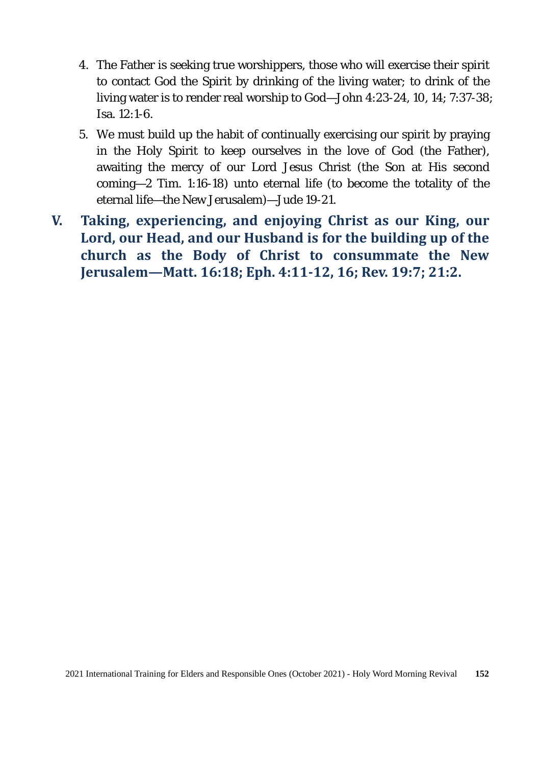- 4. The Father is seeking true worshippers, those who will exercise their spirit to contact God the Spirit by drinking of the living water; to drink of the living water is to render real worship to God—John 4:23-24, 10, 14; 7:37-38; Isa. 12:1-6.
- 5. We must build up the habit of continually exercising our spirit by praying in the Holy Spirit to keep ourselves in the love of God (the Father), awaiting the mercy of our Lord Jesus Christ (the Son at His second coming—2 Tim. 1:16-18) unto eternal life (to become the totality of the eternal life—the New Jerusalem)—Jude 19-21.
- **V. Taking, experiencing, and enjoying Christ as our King, our Lord, our Head, and our Husband is for the building up of the church as the Body of Christ to consummate the New Jerusalem—Matt. 16:18; Eph. 4:11-12, 16; Rev. 19:7; 21:2.**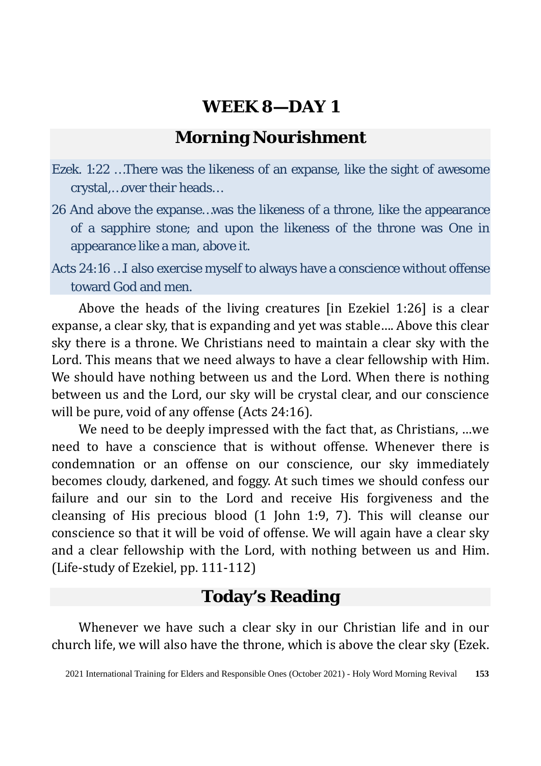### **Morning Nourishment**

- Ezek. 1:22 …There was the likeness of an expanse, like the sight of awesome crystal,…over their heads…
- 26 And above the expanse…was the likeness of a throne, like the appearance of a sapphire stone; and upon the likeness of the throne was One in appearance like a man, above it.
- Acts 24:16 …I also exercise myself to always have a conscience without offense toward God and men.

Above the heads of the living creatures [in Ezekiel 1:26] is a clear expanse, a clear sky, that is expanding and yet was stable…. Above this clear sky there is a throne. We Christians need to maintain a clear sky with the Lord. This means that we need always to have a clear fellowship with Him. We should have nothing between us and the Lord. When there is nothing between us and the Lord, our sky will be crystal clear, and our conscience will be pure, void of any offense (Acts 24:16).

We need to be deeply impressed with the fact that, as Christians, …we need to have a conscience that is without offense. Whenever there is condemnation or an offense on our conscience, our sky immediately becomes cloudy, darkened, and foggy. At such times we should confess our failure and our sin to the Lord and receive His forgiveness and the cleansing of His precious blood (1 John 1:9, 7). This will cleanse our conscience so that it will be void of offense. We will again have a clear sky and a clear fellowship with the Lord, with nothing between us and Him. (Life-study of Ezekiel, pp. 111-112)

#### **Today's Reading**

Whenever we have such a clear sky in our Christian life and in our church life, we will also have the throne, which is above the clear sky (Ezek.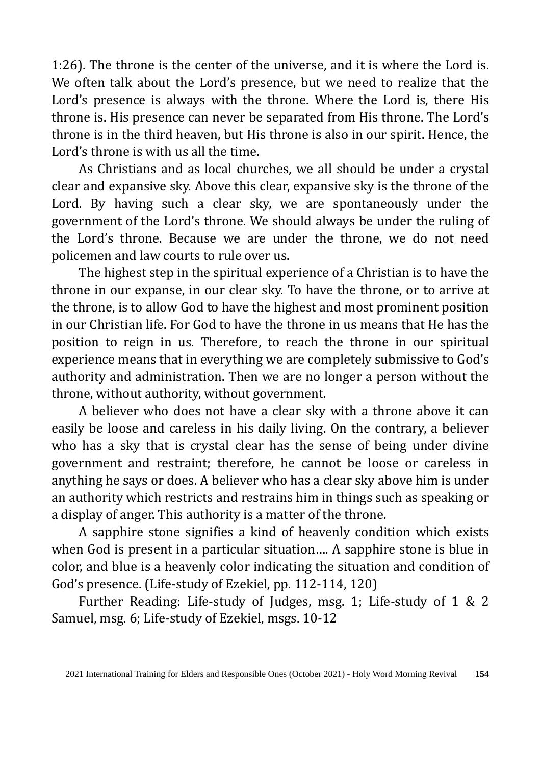1:26). The throne is the center of the universe, and it is where the Lord is. We often talk about the Lord's presence, but we need to realize that the Lord's presence is always with the throne. Where the Lord is, there His throne is. His presence can never be separated from His throne. The Lord's throne is in the third heaven, but His throne is also in our spirit. Hence, the Lord's throne is with us all the time.

As Christians and as local churches, we all should be under a crystal clear and expansive sky. Above this clear, expansive sky is the throne of the Lord. By having such a clear sky, we are spontaneously under the government of the Lord's throne. We should always be under the ruling of the Lord's throne. Because we are under the throne, we do not need policemen and law courts to rule over us.

The highest step in the spiritual experience of a Christian is to have the throne in our expanse, in our clear sky. To have the throne, or to arrive at the throne, is to allow God to have the highest and most prominent position in our Christian life. For God to have the throne in us means that He has the position to reign in us. Therefore, to reach the throne in our spiritual experience means that in everything we are completely submissive to God's authority and administration. Then we are no longer a person without the throne, without authority, without government.

A believer who does not have a clear sky with a throne above it can easily be loose and careless in his daily living. On the contrary, a believer who has a sky that is crystal clear has the sense of being under divine government and restraint; therefore, he cannot be loose or careless in anything he says or does. A believer who has a clear sky above him is under an authority which restricts and restrains him in things such as speaking or a display of anger. This authority is a matter of the throne.

A sapphire stone signifies a kind of heavenly condition which exists when God is present in a particular situation…. A sapphire stone is blue in color, and blue is a heavenly color indicating the situation and condition of God's presence. (Life-study of Ezekiel, pp. 112-114, 120)

Further Reading: Life-study of Judges, msg. 1; Life-study of 1 & 2 Samuel, msg. 6; Life-study of Ezekiel, msgs. 10-12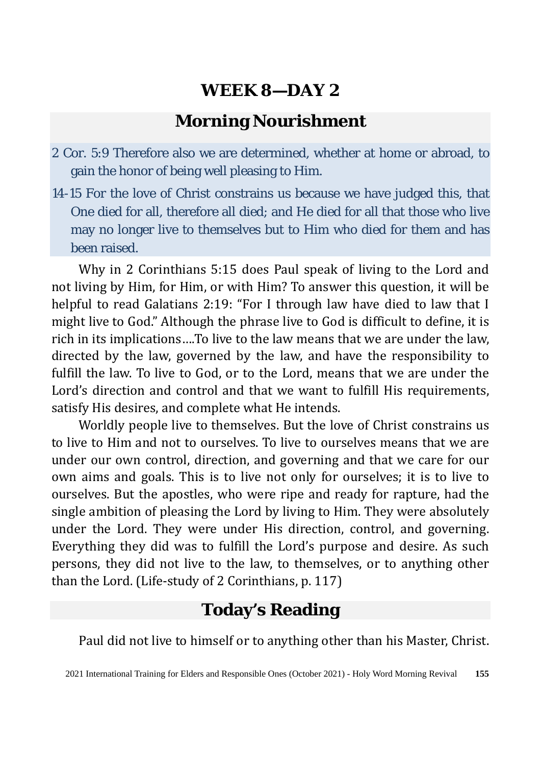#### **Morning Nourishment**

- 2 Cor. 5:9 Therefore also we are determined, whether at home or abroad, to gain the honor of being well pleasing to Him.
- 14-15 For the love of Christ constrains us because we have judged this, that One died for all, therefore all died; and He died for all that those who live may no longer live to themselves but to Him who died for them and has been raised.

Why in 2 Corinthians 5:15 does Paul speak of living to the Lord and not living by Him, for Him, or with Him? To answer this question, it will be helpful to read Galatians 2:19: "For I through law have died to law that I might live to God." Although the phrase live to God is difficult to define, it is rich in its implications….To live to the law means that we are under the law, directed by the law, governed by the law, and have the responsibility to fulfill the law. To live to God, or to the Lord, means that we are under the Lord's direction and control and that we want to fulfill His requirements, satisfy His desires, and complete what He intends.

Worldly people live to themselves. But the love of Christ constrains us to live to Him and not to ourselves. To live to ourselves means that we are under our own control, direction, and governing and that we care for our own aims and goals. This is to live not only for ourselves; it is to live to ourselves. But the apostles, who were ripe and ready for rapture, had the single ambition of pleasing the Lord by living to Him. They were absolutely under the Lord. They were under His direction, control, and governing. Everything they did was to fulfill the Lord's purpose and desire. As such persons, they did not live to the law, to themselves, or to anything other than the Lord. (Life-study of 2 Corinthians, p. 117)

### **Today's Reading**

Paul did not live to himself or to anything other than his Master, Christ.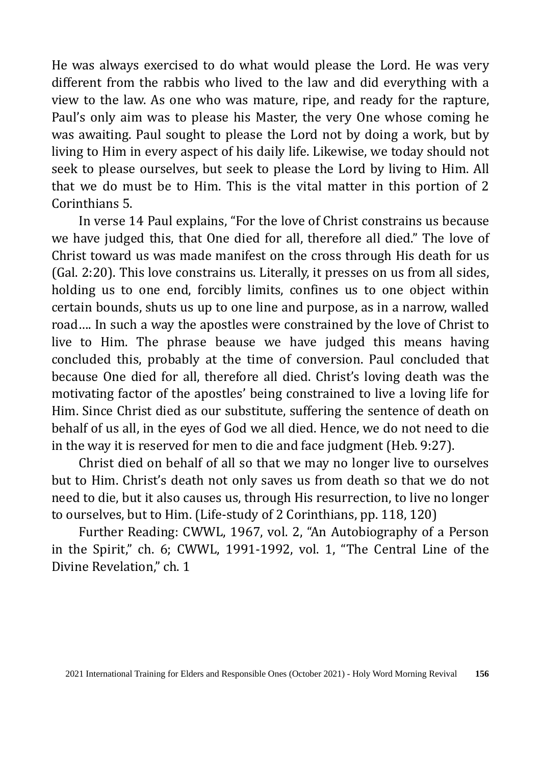He was always exercised to do what would please the Lord. He was very different from the rabbis who lived to the law and did everything with a view to the law. As one who was mature, ripe, and ready for the rapture, Paul's only aim was to please his Master, the very One whose coming he was awaiting. Paul sought to please the Lord not by doing a work, but by living to Him in every aspect of his daily life. Likewise, we today should not seek to please ourselves, but seek to please the Lord by living to Him. All that we do must be to Him. This is the vital matter in this portion of 2 Corinthians 5.

In verse 14 Paul explains, "For the love of Christ constrains us because we have judged this, that One died for all, therefore all died." The love of Christ toward us was made manifest on the cross through His death for us (Gal. 2:20). This love constrains us. Literally, it presses on us from all sides, holding us to one end, forcibly limits, confines us to one object within certain bounds, shuts us up to one line and purpose, as in a narrow, walled road…. In such a way the apostles were constrained by the love of Christ to live to Him. The phrase beause we have judged this means having concluded this, probably at the time of conversion. Paul concluded that because One died for all, therefore all died. Christ's loving death was the motivating factor of the apostles' being constrained to live a loving life for Him. Since Christ died as our substitute, suffering the sentence of death on behalf of us all, in the eyes of God we all died. Hence, we do not need to die in the way it is reserved for men to die and face judgment (Heb. 9:27).

Christ died on behalf of all so that we may no longer live to ourselves but to Him. Christ's death not only saves us from death so that we do not need to die, but it also causes us, through His resurrection, to live no longer to ourselves, but to Him. (Life-study of 2 Corinthians, pp. 118, 120)

Further Reading: CWWL, 1967, vol. 2, "An Autobiography of a Person in the Spirit," ch. 6; CWWL, 1991-1992, vol. 1, "The Central Line of the Divine Revelation," ch. 1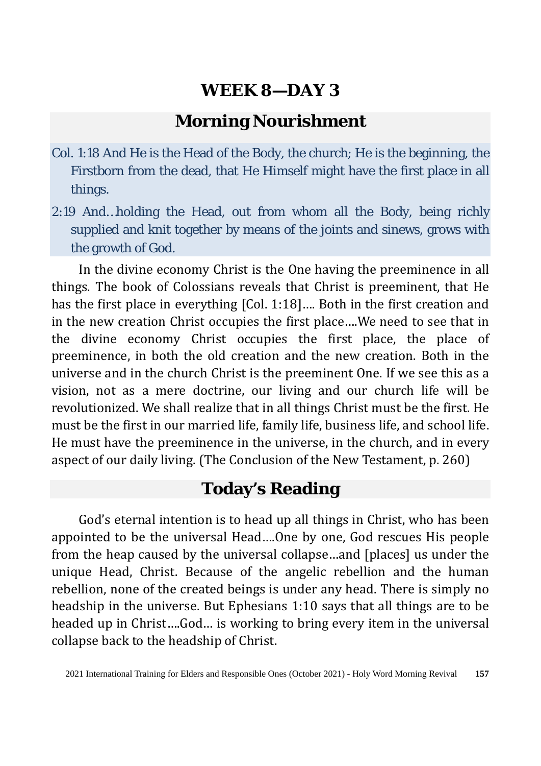#### **Morning Nourishment**

- Col. 1:18 And He is the Head of the Body, the church; He is the beginning, the Firstborn from the dead, that He Himself might have the first place in all things.
- 2:19 And…holding the Head, out from whom all the Body, being richly supplied and knit together by means of the joints and sinews, grows with the growth of God.

In the divine economy Christ is the One having the preeminence in all things. The book of Colossians reveals that Christ is preeminent, that He has the first place in everything [Col. 1:18]…. Both in the first creation and in the new creation Christ occupies the first place….We need to see that in the divine economy Christ occupies the first place, the place of preeminence, in both the old creation and the new creation. Both in the universe and in the church Christ is the preeminent One. If we see this as a vision, not as a mere doctrine, our living and our church life will be revolutionized. We shall realize that in all things Christ must be the first. He must be the first in our married life, family life, business life, and school life. He must have the preeminence in the universe, in the church, and in every aspect of our daily living. (The Conclusion of the New Testament, p. 260)

### **Today's Reading**

God's eternal intention is to head up all things in Christ, who has been appointed to be the universal Head….One by one, God rescues His people from the heap caused by the universal collapse…and [places] us under the unique Head, Christ. Because of the angelic rebellion and the human rebellion, none of the created beings is under any head. There is simply no headship in the universe. But Ephesians 1:10 says that all things are to be headed up in Christ….God… is working to bring every item in the universal collapse back to the headship of Christ.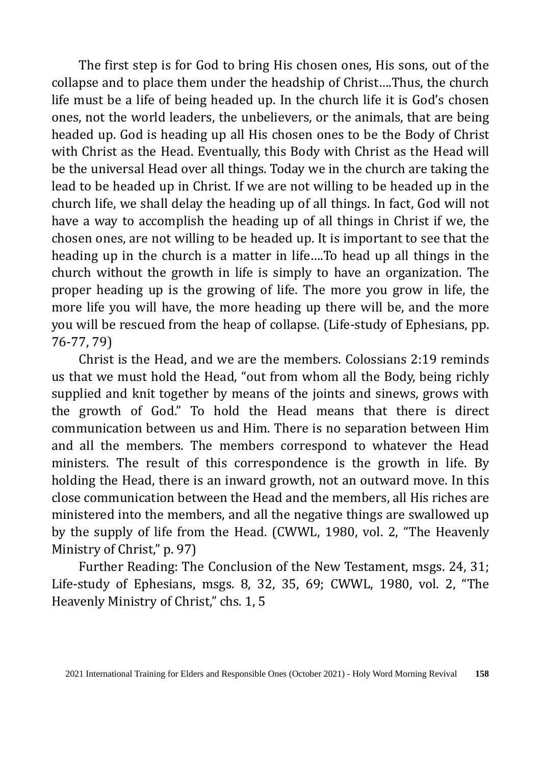The first step is for God to bring His chosen ones, His sons, out of the collapse and to place them under the headship of Christ….Thus, the church life must be a life of being headed up. In the church life it is God's chosen ones, not the world leaders, the unbelievers, or the animals, that are being headed up. God is heading up all His chosen ones to be the Body of Christ with Christ as the Head. Eventually, this Body with Christ as the Head will be the universal Head over all things. Today we in the church are taking the lead to be headed up in Christ. If we are not willing to be headed up in the church life, we shall delay the heading up of all things. In fact, God will not have a way to accomplish the heading up of all things in Christ if we, the chosen ones, are not willing to be headed up. It is important to see that the heading up in the church is a matter in life….To head up all things in the church without the growth in life is simply to have an organization. The proper heading up is the growing of life. The more you grow in life, the more life you will have, the more heading up there will be, and the more you will be rescued from the heap of collapse. (Life-study of Ephesians, pp. 76-77, 79)

Christ is the Head, and we are the members. Colossians 2:19 reminds us that we must hold the Head, "out from whom all the Body, being richly supplied and knit together by means of the joints and sinews, grows with the growth of God." To hold the Head means that there is direct communication between us and Him. There is no separation between Him and all the members. The members correspond to whatever the Head ministers. The result of this correspondence is the growth in life. By holding the Head, there is an inward growth, not an outward move. In this close communication between the Head and the members, all His riches are ministered into the members, and all the negative things are swallowed up by the supply of life from the Head. (CWWL, 1980, vol. 2, "The Heavenly Ministry of Christ," p. 97)

Further Reading: The Conclusion of the New Testament, msgs. 24, 31; Life-study of Ephesians, msgs. 8, 32, 35, 69; CWWL, 1980, vol. 2, "The Heavenly Ministry of Christ," chs. 1, 5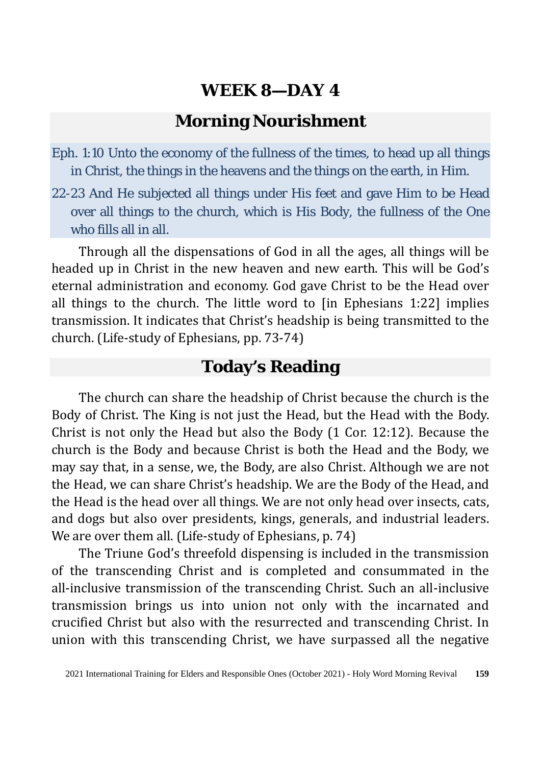#### **Morning Nourishment**

- Eph. 1:10 Unto the economy of the fullness of the times, to head up all things in Christ, the things in the heavens and the things on the earth, in Him.
- 22-23 And He subjected all things under His feet and gave Him to be Head over all things to the church, which is His Body, the fullness of the One who fills all in all.

Through all the dispensations of God in all the ages, all things will be headed up in Christ in the new heaven and new earth. This will be God's eternal administration and economy. God gave Christ to be the Head over all things to the church. The little word to [in Ephesians 1:22] implies transmission. It indicates that Christ's headship is being transmitted to the church. (Life-study of Ephesians, pp. 73-74)

### **Today's Reading**

The church can share the headship of Christ because the church is the Body of Christ. The King is not just the Head, but the Head with the Body. Christ is not only the Head but also the Body (1 Cor. 12:12). Because the church is the Body and because Christ is both the Head and the Body, we may say that, in a sense, we, the Body, are also Christ. Although we are not the Head, we can share Christ's headship. We are the Body of the Head, and the Head is the head over all things. We are not only head over insects, cats, and dogs but also over presidents, kings, generals, and industrial leaders. We are over them all. (Life-study of Ephesians, p. 74)

The Triune God's threefold dispensing is included in the transmission of the transcending Christ and is completed and consummated in the all-inclusive transmission of the transcending Christ. Such an all-inclusive transmission brings us into union not only with the incarnated and crucified Christ but also with the resurrected and transcending Christ. In union with this transcending Christ, we have surpassed all the negative

<sup>2021</sup> International Training for Elders and Responsible Ones (October 2021) - Holy Word Morning Revival **159**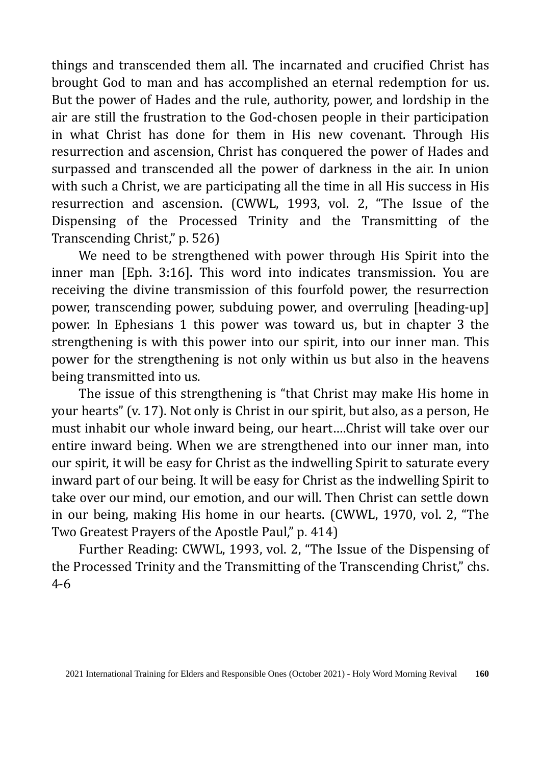things and transcended them all. The incarnated and crucified Christ has brought God to man and has accomplished an eternal redemption for us. But the power of Hades and the rule, authority, power, and lordship in the air are still the frustration to the God-chosen people in their participation in what Christ has done for them in His new covenant. Through His resurrection and ascension, Christ has conquered the power of Hades and surpassed and transcended all the power of darkness in the air. In union with such a Christ, we are participating all the time in all His success in His resurrection and ascension. (CWWL, 1993, vol. 2, "The Issue of the Dispensing of the Processed Trinity and the Transmitting of the Transcending Christ," p. 526)

We need to be strengthened with power through His Spirit into the inner man [Eph. 3:16]. This word into indicates transmission. You are receiving the divine transmission of this fourfold power, the resurrection power, transcending power, subduing power, and overruling [heading-up] power. In Ephesians 1 this power was toward us, but in chapter 3 the strengthening is with this power into our spirit, into our inner man. This power for the strengthening is not only within us but also in the heavens being transmitted into us.

The issue of this strengthening is "that Christ may make His home in your hearts" (v. 17). Not only is Christ in our spirit, but also, as a person, He must inhabit our whole inward being, our heart….Christ will take over our entire inward being. When we are strengthened into our inner man, into our spirit, it will be easy for Christ as the indwelling Spirit to saturate every inward part of our being. It will be easy for Christ as the indwelling Spirit to take over our mind, our emotion, and our will. Then Christ can settle down in our being, making His home in our hearts. (CWWL, 1970, vol. 2, "The Two Greatest Prayers of the Apostle Paul," p. 414)

Further Reading: CWWL, 1993, vol. 2, "The Issue of the Dispensing of the Processed Trinity and the Transmitting of the Transcending Christ," chs. 4-6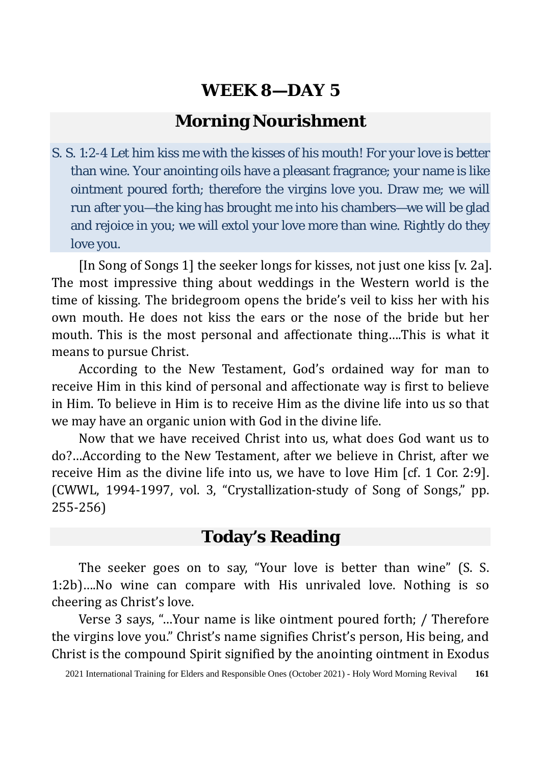### **Morning Nourishment**

S. S. 1:2-4 Let him kiss me with the kisses of his mouth! For your love is better than wine. Your anointing oils have a pleasant fragrance; your name is like ointment poured forth; therefore the virgins love you. Draw me; we will run after you—the king has brought me into his chambers—we will be glad and rejoice in you; we will extol your love more than wine. Rightly do they love you.

[In Song of Songs 1] the seeker longs for kisses, not just one kiss [v. 2a]. The most impressive thing about weddings in the Western world is the time of kissing. The bridegroom opens the bride's veil to kiss her with his own mouth. He does not kiss the ears or the nose of the bride but her mouth. This is the most personal and affectionate thing….This is what it means to pursue Christ.

According to the New Testament, God's ordained way for man to receive Him in this kind of personal and affectionate way is first to believe in Him. To believe in Him is to receive Him as the divine life into us so that we may have an organic union with God in the divine life.

Now that we have received Christ into us, what does God want us to do?…According to the New Testament, after we believe in Christ, after we receive Him as the divine life into us, we have to love Him [cf. 1 Cor. 2:9]. (CWWL, 1994-1997, vol. 3, "Crystallization-study of Song of Songs," pp. 255-256)

### **Today's Reading**

The seeker goes on to say, "Your love is better than wine" (S. S. 1:2b)….No wine can compare with His unrivaled love. Nothing is so cheering as Christ's love.

Verse 3 says, "…Your name is like ointment poured forth; / Therefore the virgins love you." Christ's name signifies Christ's person, His being, and Christ is the compound Spirit signified by the anointing ointment in Exodus

<sup>2021</sup> International Training for Elders and Responsible Ones (October 2021) - Holy Word Morning Revival **161**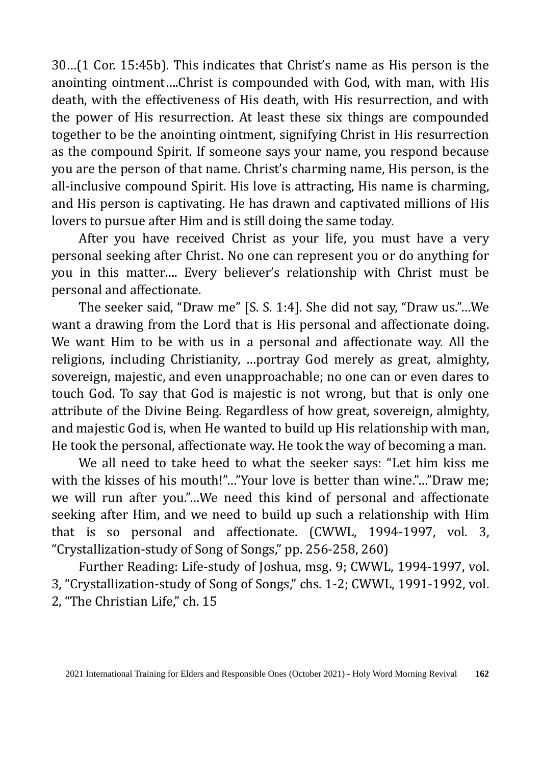30…(1 Cor. 15:45b). This indicates that Christ's name as His person is the anointing ointment….Christ is compounded with God, with man, with His death, with the effectiveness of His death, with His resurrection, and with the power of His resurrection. At least these six things are compounded together to be the anointing ointment, signifying Christ in His resurrection as the compound Spirit. If someone says your name, you respond because you are the person of that name. Christ's charming name, His person, is the all-inclusive compound Spirit. His love is attracting, His name is charming, and His person is captivating. He has drawn and captivated millions of His lovers to pursue after Him and is still doing the same today.

After you have received Christ as your life, you must have a very personal seeking after Christ. No one can represent you or do anything for you in this matter…. Every believer's relationship with Christ must be personal and affectionate.

The seeker said, "Draw me" [S. S. 1:4]. She did not say, "Draw us."…We want a drawing from the Lord that is His personal and affectionate doing. We want Him to be with us in a personal and affectionate way. All the religions, including Christianity, …portray God merely as great, almighty, sovereign, majestic, and even unapproachable; no one can or even dares to touch God. To say that God is majestic is not wrong, but that is only one attribute of the Divine Being. Regardless of how great, sovereign, almighty, and majestic God is, when He wanted to build up His relationship with man, He took the personal, affectionate way. He took the way of becoming a man.

We all need to take heed to what the seeker says: "Let him kiss me with the kisses of his mouth!"..."Your love is better than wine."..."Draw me; we will run after you."…We need this kind of personal and affectionate seeking after Him, and we need to build up such a relationship with Him that is so personal and affectionate. (CWWL, 1994-1997, vol. 3, "Crystallization-study of Song of Songs," pp. 256-258, 260)

Further Reading: Life-study of Joshua, msg. 9; CWWL, 1994-1997, vol. 3, "Crystallization-study of Song of Songs," chs. 1-2; CWWL, 1991-1992, vol. 2, "The Christian Life," ch. 15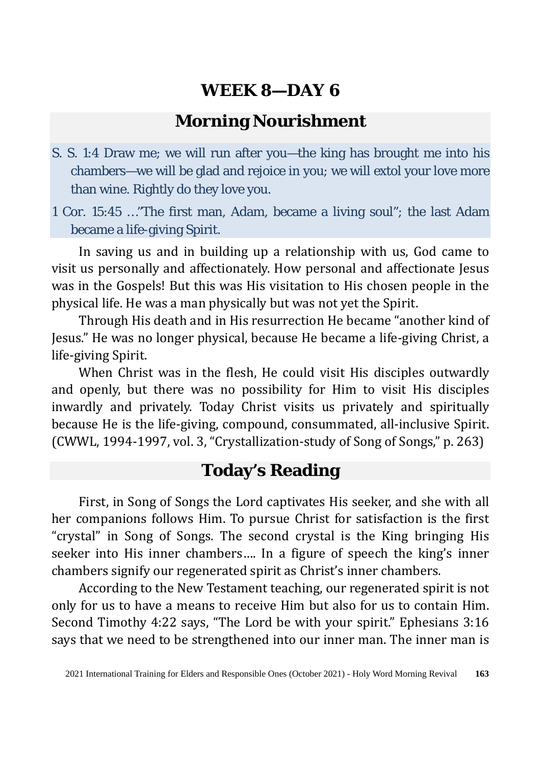### **Morning Nourishment**

S. S. 1:4 Draw me; we will run after you—the king has brought me into his chambers—we will be glad and rejoice in you; we will extol your love more than wine. Rightly do they love you.

1 Cor. 15:45 …"The first man, Adam, became a living soul"; the last Adam became a life-giving Spirit.

In saving us and in building up a relationship with us, God came to visit us personally and affectionately. How personal and affectionate Jesus was in the Gospels! But this was His visitation to His chosen people in the physical life. He was a man physically but was not yet the Spirit.

Through His death and in His resurrection He became "another kind of Jesus." He was no longer physical, because He became a life-giving Christ, a life-giving Spirit.

When Christ was in the flesh, He could visit His disciples outwardly and openly, but there was no possibility for Him to visit His disciples inwardly and privately. Today Christ visits us privately and spiritually because He is the life-giving, compound, consummated, all-inclusive Spirit. (CWWL, 1994-1997, vol. 3, "Crystallization-study of Song of Songs," p. 263)

### **Today's Reading**

First, in Song of Songs the Lord captivates His seeker, and she with all her companions follows Him. To pursue Christ for satisfaction is the first "crystal" in Song of Songs. The second crystal is the King bringing His seeker into His inner chambers…. In a figure of speech the king's inner chambers signify our regenerated spirit as Christ's inner chambers.

According to the New Testament teaching, our regenerated spirit is not only for us to have a means to receive Him but also for us to contain Him. Second Timothy 4:22 says, "The Lord be with your spirit." Ephesians 3:16 says that we need to be strengthened into our inner man. The inner man is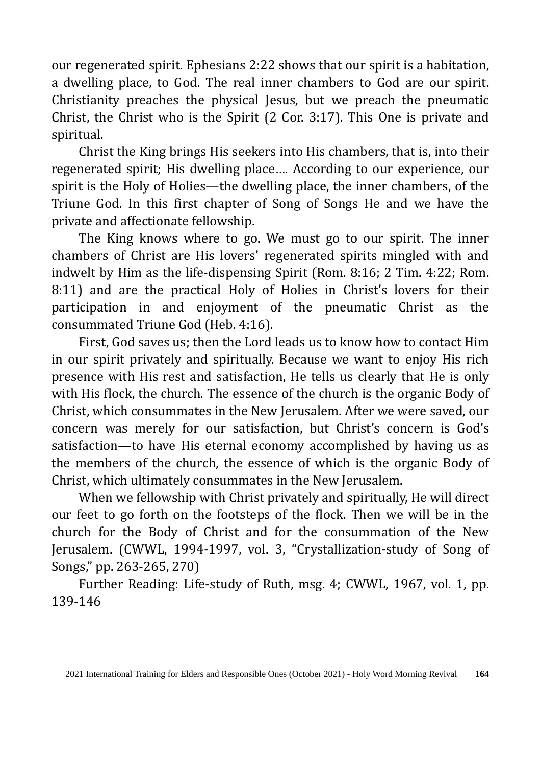our regenerated spirit. Ephesians 2:22 shows that our spirit is a habitation, a dwelling place, to God. The real inner chambers to God are our spirit. Christianity preaches the physical Jesus, but we preach the pneumatic Christ, the Christ who is the Spirit (2 Cor. 3:17). This One is private and spiritual.

Christ the King brings His seekers into His chambers, that is, into their regenerated spirit; His dwelling place…. According to our experience, our spirit is the Holy of Holies—the dwelling place, the inner chambers, of the Triune God. In this first chapter of Song of Songs He and we have the private and affectionate fellowship.

The King knows where to go. We must go to our spirit. The inner chambers of Christ are His lovers' regenerated spirits mingled with and indwelt by Him as the life-dispensing Spirit (Rom. 8:16; 2 Tim. 4:22; Rom. 8:11) and are the practical Holy of Holies in Christ's lovers for their participation in and enjoyment of the pneumatic Christ as the consummated Triune God (Heb. 4:16).

First, God saves us; then the Lord leads us to know how to contact Him in our spirit privately and spiritually. Because we want to enjoy His rich presence with His rest and satisfaction, He tells us clearly that He is only with His flock, the church. The essence of the church is the organic Body of Christ, which consummates in the New Jerusalem. After we were saved, our concern was merely for our satisfaction, but Christ's concern is God's satisfaction—to have His eternal economy accomplished by having us as the members of the church, the essence of which is the organic Body of Christ, which ultimately consummates in the New Jerusalem.

When we fellowship with Christ privately and spiritually, He will direct our feet to go forth on the footsteps of the flock. Then we will be in the church for the Body of Christ and for the consummation of the New Jerusalem. (CWWL, 1994-1997, vol. 3, "Crystallization-study of Song of Songs," pp. 263-265, 270)

Further Reading: Life-study of Ruth, msg. 4; CWWL, 1967, vol. 1, pp. 139-146